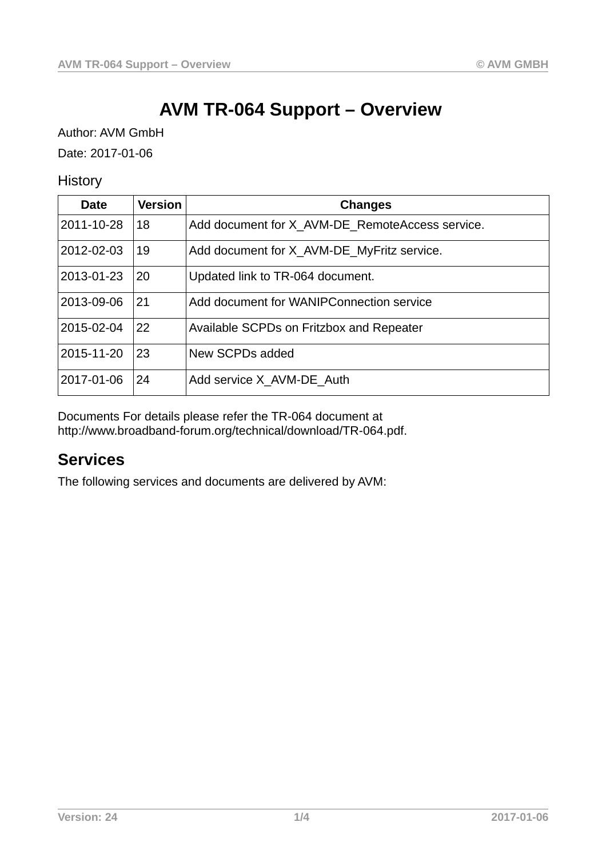# **AVM TR-064 Support – Overview**

Author: AVM GmbH Date: 2017-01-06

**History** 

| Date       | <b>Version</b> | <b>Changes</b>                                  |  |
|------------|----------------|-------------------------------------------------|--|
| 2011-10-28 | 18             | Add document for X AVM-DE RemoteAccess service. |  |
| 2012-02-03 | 19             | Add document for X AVM-DE MyFritz service.      |  |
| 2013-01-23 | 20             | Updated link to TR-064 document.                |  |
| 2013-09-06 | 21             | Add document for WANIPConnection service        |  |
| 2015-02-04 | 22             | Available SCPDs on Fritzbox and Repeater        |  |
| 2015-11-20 | 23             | New SCPDs added                                 |  |
| 2017-01-06 | 24             | Add service X AVM-DE Auth                       |  |

Documents For details please refer the TR-064 document at http://www.broadband-forum.org/technical/download/TR-064.pdf.

## **Services**

The following services and documents are delivered by AVM: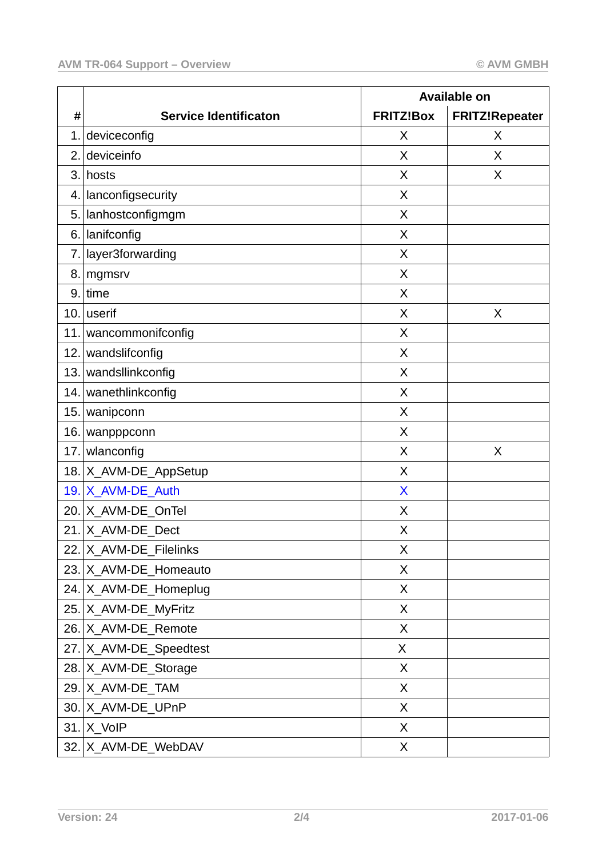|     |                              | <b>Available on</b> |                       |
|-----|------------------------------|---------------------|-----------------------|
| #   | <b>Service Identificaton</b> | <b>FRITZ!Box</b>    | <b>FRITZ!Repeater</b> |
| 1.  | deviceconfig                 | X                   | X                     |
| 2.  | deviceinfo                   | X                   | X                     |
| 3.  | hosts                        | X                   | X                     |
| 4.1 | lanconfigsecurity            | X                   |                       |
| 5.1 | lanhostconfigmgm             | X                   |                       |
| 6.  | lanifconfig                  | X                   |                       |
| 7.1 | layer3forwarding             | X                   |                       |
| 8.  | mgmsrv                       | X                   |                       |
| 9.1 | time                         | X                   |                       |
|     | $10.$ userif                 | X                   | X                     |
| 11. | wancommonifconfig            | X                   |                       |
| 12. | wandslifconfig               | X                   |                       |
|     | 13. wandsllinkconfig         | X                   |                       |
|     | 14. wanethlinkconfig         | X                   |                       |
| 15. | wanipconn                    | X                   |                       |
| 16. | wanpppconn                   | X                   |                       |
| 17. | wlanconfig                   | X                   | X                     |
|     | 18. X_AVM-DE_AppSetup        | X                   |                       |
|     | 19. X_AVM-DE_Auth            | X                   |                       |
|     | 20. X AVM-DE OnTel           | X                   |                       |
|     | 21. $X$ AVM-DE Dect          | X                   |                       |
|     | 22. X_AVM-DE_Filelinks       | X                   |                       |
|     | 23. X_AVM-DE_Homeauto        | X                   |                       |
|     | 24. X_AVM-DE_Homeplug        | X                   |                       |
|     | 25. X_AVM-DE_MyFritz         | X                   |                       |
|     | 26. X_AVM-DE_Remote          | X                   |                       |
|     | 27. X_AVM-DE_Speedtest       | X                   |                       |
|     | 28. X_AVM-DE_Storage         | X                   |                       |
|     | 29. X_AVM-DE_TAM             | X                   |                       |
|     | 30. X_AVM-DE_UPnP            | X                   |                       |
|     | $31.$ X VoIP                 | X                   |                       |
|     | 32. X_AVM-DE_WebDAV          | X                   |                       |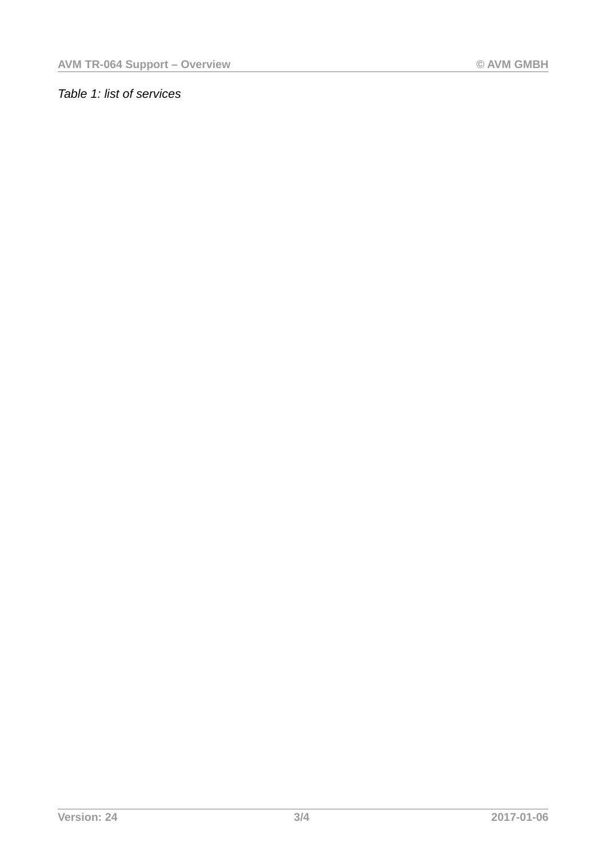### *Table 1: list of services*